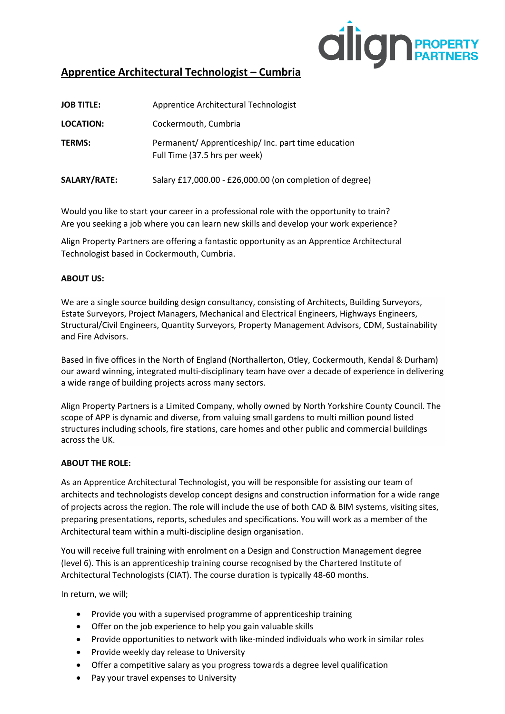

# **Apprentice Architectural Technologist – Cumbria**

| <b>JOB TITLE:</b> | Apprentice Architectural Technologist                                                |
|-------------------|--------------------------------------------------------------------------------------|
| <b>LOCATION:</b>  | Cockermouth, Cumbria                                                                 |
| <b>TERMS:</b>     | Permanent/ Apprenticeship/ Inc. part time education<br>Full Time (37.5 hrs per week) |
| SALARY/RATE:      | Salary £17,000.00 - £26,000.00 (on completion of degree)                             |

Would you like to start your career in a professional role with the opportunity to train? Are you seeking a job where you can learn new skills and develop your work experience?

Align Property Partners are offering a fantastic opportunity as an Apprentice Architectural Technologist based in Cockermouth, Cumbria.

## **ABOUT US:**

We are a single source building design consultancy, consisting of Architects, Building Surveyors, Estate Surveyors, Project Managers, Mechanical and Electrical Engineers, Highways Engineers, Structural/Civil Engineers, Quantity Surveyors, Property Management Advisors, CDM, Sustainability and Fire Advisors.

Based in five offices in the North of England (Northallerton, Otley, Cockermouth, Kendal & Durham) our award winning, integrated multi-disciplinary team have over a decade of experience in delivering a wide range of building projects across many sectors.

Align Property Partners is a Limited Company, wholly owned by North Yorkshire County Council. The scope of APP is dynamic and diverse, from valuing small gardens to multi million pound listed structures including schools, fire stations, care homes and other public and commercial buildings across the UK.

#### **ABOUT THE ROLE:**

As an Apprentice Architectural Technologist, you will be responsible for assisting our team of architects and technologists develop concept designs and construction information for a wide range of projects across the region. The role will include the use of both CAD & BIM systems, visiting sites, preparing presentations, reports, schedules and specifications. You will work as a member of the Architectural team within a multi-discipline design organisation.

You will receive full training with enrolment on a Design and Construction Management degree (level 6). This is an apprenticeship training course recognised by the Chartered Institute of Architectural Technologists (CIAT). The course duration is typically 48-60 months.

In return, we will;

- Provide you with a supervised programme of apprenticeship training
- Offer on the job experience to help you gain valuable skills
- Provide opportunities to network with like-minded individuals who work in similar roles
- Provide weekly day release to University
- Offer a competitive salary as you progress towards a degree level qualification
- Pay your travel expenses to University